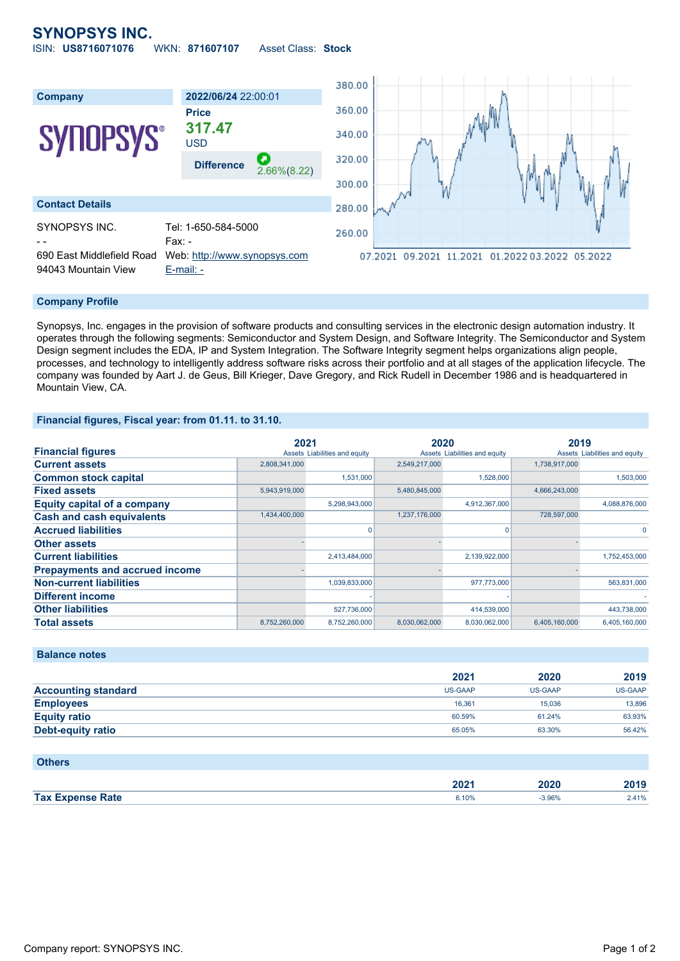# **SYNOPSYS INC.**

ISIN: **US8716071076** WKN: **871607107** Asset Class: **Stock**



#### **Company Profile**

Synopsys, Inc. engages in the provision of software products and consulting services in the electronic design automation industry. It operates through the following segments: Semiconductor and System Design, and Software Integrity. The Semiconductor and System Design segment includes the EDA, IP and System Integration. The Software Integrity segment helps organizations align people, processes, and technology to intelligently address software risks across their portfolio and at all stages of the application lifecycle. The company was founded by Aart J. de Geus, Bill Krieger, Dave Gregory, and Rick Rudell in December 1986 and is headquartered in Mountain View, CA.

#### **Financial figures, Fiscal year: from 01.11. to 31.10.**

|                                       | 2021          |                               | 2020          |                               | 2019          |                               |
|---------------------------------------|---------------|-------------------------------|---------------|-------------------------------|---------------|-------------------------------|
| <b>Financial figures</b>              |               | Assets Liabilities and equity |               | Assets Liabilities and equity |               | Assets Liabilities and equity |
| <b>Current assets</b>                 | 2,808,341,000 |                               | 2,549,217,000 |                               | 1,738,917,000 |                               |
| <b>Common stock capital</b>           |               | 1,531,000                     |               | 1,528,000                     |               | 1,503,000                     |
| <b>Fixed assets</b>                   | 5,943,919,000 |                               | 5,480,845,000 |                               | 4,666,243,000 |                               |
| <b>Equity capital of a company</b>    |               | 5,298,943,000                 |               | 4,912,367,000                 |               | 4,088,876,000                 |
| <b>Cash and cash equivalents</b>      | 1,434,400,000 |                               | 1,237,176,000 |                               | 728,597,000   |                               |
| <b>Accrued liabilities</b>            |               |                               |               |                               |               |                               |
| <b>Other assets</b>                   |               |                               |               |                               |               |                               |
| <b>Current liabilities</b>            |               | 2,413,484,000                 |               | 2,139,922,000                 |               | 1,752,453,000                 |
| <b>Prepayments and accrued income</b> |               |                               |               |                               |               |                               |
| <b>Non-current liabilities</b>        |               | 1,039,833,000                 |               | 977,773,000                   |               | 563,831,000                   |
| <b>Different income</b>               |               |                               |               |                               |               |                               |
| <b>Other liabilities</b>              |               | 527,736,000                   |               | 414,539,000                   |               | 443,738,000                   |
| <b>Total assets</b>                   | 8.752.260.000 | 8,752,260,000                 | 8.030.062.000 | 8.030.062.000                 | 6.405.160.000 | 6.405.160.000                 |

### **Balance notes**

|                            | 2021           | 2020           | 2019           |
|----------------------------|----------------|----------------|----------------|
| <b>Accounting standard</b> | <b>US-GAAP</b> | <b>US-GAAP</b> | <b>US-GAAP</b> |
| <b>Employees</b>           | 16.361         | 15.036         | 13,896         |
| <b>Equity ratio</b>        | 60.59%         | 61.24%         | 63.93%         |
| Debt-equity ratio          | 65.05%         | 63.30%         | 56.42%         |

#### **Others**

|                              | 2021<br>ZUZ |            | $\sim$   |
|------------------------------|-------------|------------|----------|
| Tax $E$<br><b>Sange Rate</b> | 6.10%       | 3.96%<br>. | $-0.000$ |